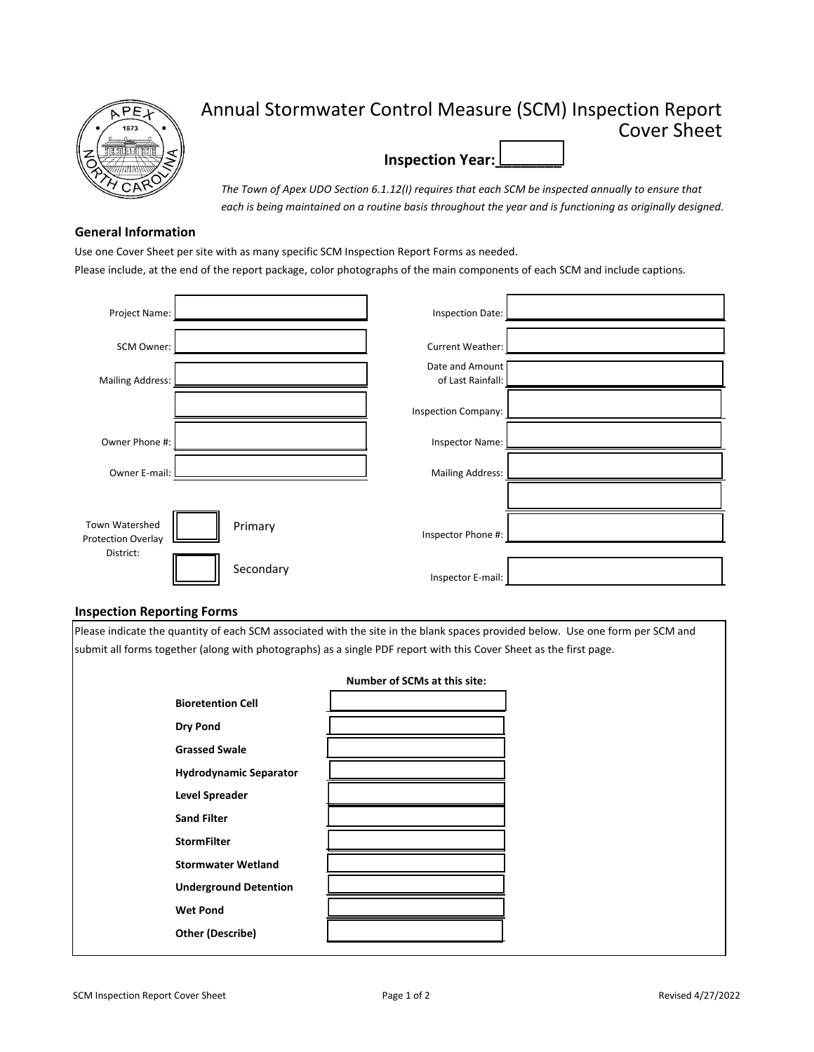

# Annual Stormwater Control Measure (SCM) Inspection Report Cover Sheet **Inspection Year:**

*The Town of Apex UDO Section 6.1.12(I) requires that each SCM be inspected annually to ensure that each is being maintained on a routine basis throughout the year and is functioning as originally designed.*

## **General Information**

Use one Cover Sheet per site with as many specific SCM Inspection Report Forms as needed.

|  |  | Please include, at the end of the report package, color photographs of the main components of each SCM and include captions. |
|--|--|------------------------------------------------------------------------------------------------------------------------------|
|--|--|------------------------------------------------------------------------------------------------------------------------------|

| Project Name:                        |           | <b>Inspection Date:</b>              |  |
|--------------------------------------|-----------|--------------------------------------|--|
| SCM Owner:                           |           | Current Weather:                     |  |
| <b>Mailing Address:</b>              |           | Date and Amount<br>of Last Rainfall: |  |
|                                      |           | <b>Inspection Company:</b>           |  |
| Owner Phone #:                       |           | Inspector Name:                      |  |
| Owner E-mail:                        |           | <b>Mailing Address:</b>              |  |
|                                      |           |                                      |  |
| Town Watershed<br>Protection Overlay | Primary   | Inspector Phone #:                   |  |
| District:                            | Secondary | Inspector E-mail:                    |  |

#### **Inspection Reporting Forms**

Please indicate the quantity of each SCM associated with the site in the blank spaces provided below. Use one form per SCM and submit all forms together (along with photographs) as a single PDF report with this Cover Sheet as the first page.

|                               | Number of SCMs at this site: |
|-------------------------------|------------------------------|
| <b>Bioretention Cell</b>      |                              |
| <b>Dry Pond</b>               |                              |
| <b>Grassed Swale</b>          |                              |
| <b>Hydrodynamic Separator</b> |                              |
| <b>Level Spreader</b>         |                              |
| <b>Sand Filter</b>            |                              |
| <b>StormFilter</b>            |                              |
| <b>Stormwater Wetland</b>     |                              |
| <b>Underground Detention</b>  |                              |
| <b>Wet Pond</b>               |                              |
| <b>Other (Describe)</b>       |                              |